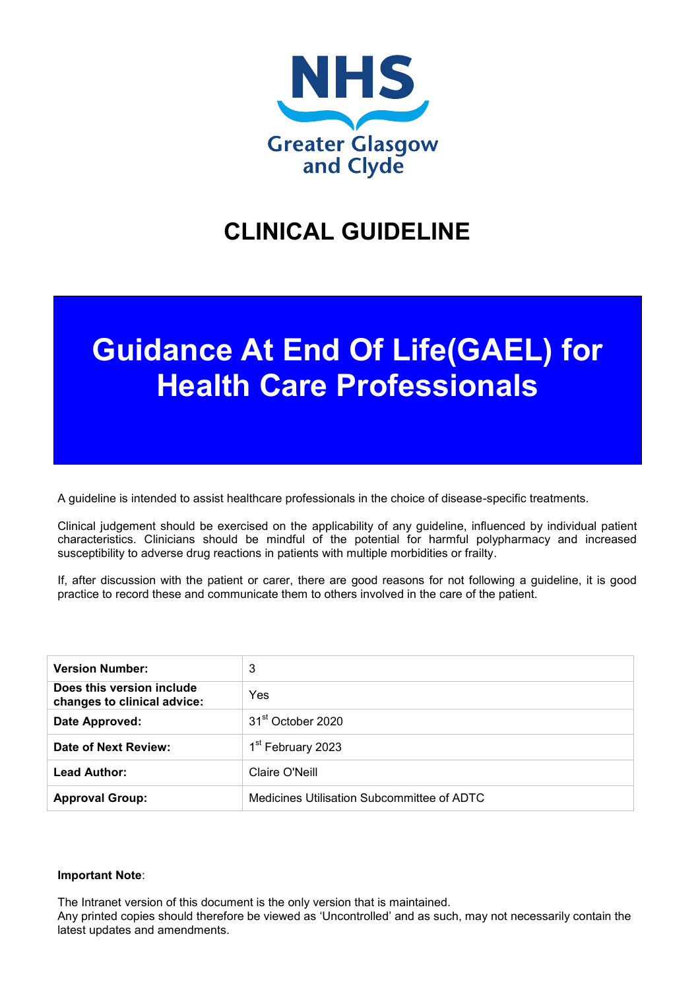

# **CLINICAL GUIDELINE**

# **Guidance At End Of Life(GAEL) for Health Care Professionals**

A guideline is intended to assist healthcare professionals in the choice of disease-specific treatments.

Clinical judgement should be exercised on the applicability of any guideline, influenced by individual patient characteristics. Clinicians should be mindful of the potential for harmful polypharmacy and increased susceptibility to adverse drug reactions in patients with multiple morbidities or frailty.

If, after discussion with the patient or carer, there are good reasons for not following a guideline, it is good practice to record these and communicate them to others involved in the care of the patient.

| <b>Version Number:</b>                                   | 3                                          |
|----------------------------------------------------------|--------------------------------------------|
| Does this version include<br>changes to clinical advice: | Yes                                        |
| Date Approved:                                           | 31 <sup>st</sup> October 2020              |
| Date of Next Review:                                     | 1 <sup>st</sup> February 2023              |
| <b>Lead Author:</b>                                      | Claire O'Neill                             |
| <b>Approval Group:</b>                                   | Medicines Utilisation Subcommittee of ADTC |

#### **Important Note**:

The Intranet version of this document is the only version that is maintained.

Any printed copies should therefore be viewed as 'Uncontrolled' and as such, may not necessarily contain the latest updates and amendments.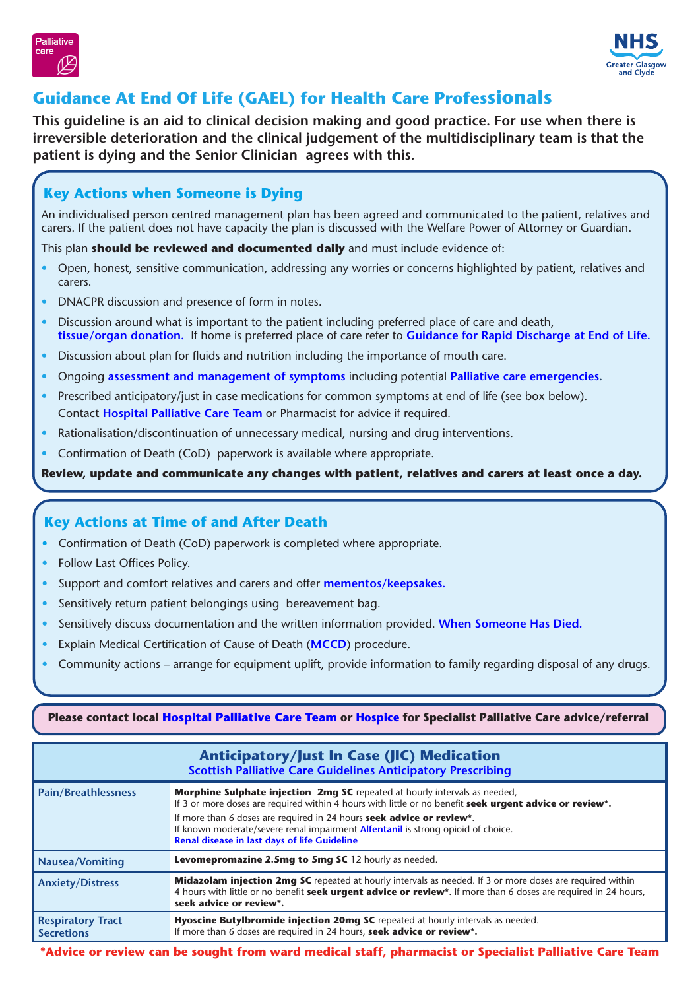



# **Guidance At End Of Life (GAEL) for Health Care Professionals**

**This guideline is an aid to clinical decision making and good practice. For use when there is irreversible deterioration and the clinical judgement of the multidisciplinary team is that the patient is dying and the Senior Clinician agrees with this.**

# **Key Actions when Someone is Dying**

An individualised person centred management plan has been agreed and communicated to the patient, relatives and carers. If the patient does not have capacity the plan is discussed with the Welfare Power of Attorney or Guardian.

This plan **should be reviewed and documented daily** and must include evidence of:

- Open, honest, sensitive communication, addressing any worries or concerns highlighted by patient, relatives and carers.
- DNACPR discussion and presence of form in notes.
- Discussion around what is important to the patient including preferred place of care and death, **[tissue/organ donation.](https://www.organdonationscotland.org/)** If home is preferred place of care refer to **[Guidance for Rapid Discharge at End of Life](http://www.staffnet.ggc.scot.nhs.uk/Info%20Centre/PoliciesProcedures/GGCClinicalGuidelines/GGC%20Clinical%20Guidelines%20Electronic%20Resource%20Direct/Rapid%20Discharge%20Guidance%20for%20Patients%20in%20last%20days%20or%20weeks%20of%20life.pdf).**
- Discussion about plan for fluids and nutrition including the importance of mouth care.
- Ongoing **[assessment and management of symptoms](https://www.palliativecareguidelines.scot.nhs.uk/guidelines/symptom-control.aspx)** including potential **[Palliative care emergencies.](https://www.palliativecareguidelines.scot.nhs.uk/guidelines/palliative-emergencies.aspx)**
- Prescribed anticipatory/just in case medications for common symptoms at end of life (see box below). Contact **[Hospital Palliative Care Team](http://www.staffnet.ggc.scot.nhs.uk/Acute/Rehab%20Assessment/Palliative%20Care/PCRF/Pages/RF_PCRFHomePage.aspx#hospital)** or Pharmacist for advice if required.
- Rationalisation/discontinuation of unnecessary medical, nursing and drug interventions.
- Confirmation of Death (CoD) paperwork is available where appropriate.

**Review, update and communicate any changes with patient, relatives and carers at least once a day.**

# **Key Actions at Time of and After Death**

- Confirmation of Death (CoD) paperwork is completed where appropriate.
- Follow Last Offices Policy.
- Support and comfort relatives and carers and offer **[mementos/keepsakes.](https://www.palliativecareggc.org.uk/wp-content/uploads/2020/05/Memento-for-Bereaved-Families-and-Carers-290420-practical-considerations.docx)**
- Sensitively return patient belongings using bereavement bag.
- Sensitively discuss documentation and the written information provided. **[When Someone Has Died.](https://www.nhsinform.scot/publications/when-someone-has-died-information-for-you)**
- Explain Medical Certification of Cause of Death (**[MCCD](http://www.staffnet.ggc.scot.nhs.uk/Human%20Resources/Learning%20and%20Education/Pages/Newmccd.aspx)**) procedure.
- Community actions arrange for equipment uplift, provide information to family regarding disposal of any drugs.

#### **Please contact local [Hospital Palliative Care Team](http://www.staffnet.ggc.scot.nhs.uk/Acute/Rehab%20Assessment/Palliative%20Care/PCRF/Pages/RF_PCRFHomePage.aspx#hospital) or [Hospice](http://www.staffnet.ggc.scot.nhs.uk/Acute/Rehab%20Assessment/Palliative%20Care/PCRF/Pages/RF_Community%20within%20NHSGGC.aspx) for Specialist Palliative Care advice/referral**

| Anticipatory/Just In Case (JIC) Medication<br><b>Scottish Palliative Care Guidelines Anticipatory Prescribing</b> |                                                                                                                                                                                                                                                                |
|-------------------------------------------------------------------------------------------------------------------|----------------------------------------------------------------------------------------------------------------------------------------------------------------------------------------------------------------------------------------------------------------|
| <b>Pain/Breathlessness</b>                                                                                        | <b>Morphine Sulphate injection 2mg SC</b> repeated at hourly intervals as needed,<br>If 3 or more doses are required within 4 hours with little or no benefit seek urgent advice or review*.                                                                   |
|                                                                                                                   | If more than 6 doses are required in 24 hours seek advice or review*.<br>If known moderate/severe renal impairment <b>Alfentanil</b> is strong opioid of choice.<br>Renal disease in last days of life Guideline                                               |
| Nausea/Vomiting                                                                                                   | Levomepromazine 2.5mg to 5mg SC 12 hourly as needed.                                                                                                                                                                                                           |
| <b>Anxiety/Distress</b>                                                                                           | <b>Midazolam injection 2mg SC</b> repeated at hourly intervals as needed. If 3 or more doses are required within<br>4 hours with little or no benefit seek urgent advice or review*. If more than 6 doses are required in 24 hours,<br>seek advice or review*. |
| <b>Respiratory Tract</b><br><b>Secretions</b>                                                                     | Hyoscine Butylbromide injection 20mg SC repeated at hourly intervals as needed.<br>If more than 6 doses are required in 24 hours, seek advice or review*.                                                                                                      |

**\*Advice or review can be sought from ward medical staff, pharmacist or Specialist Palliative Care Team**